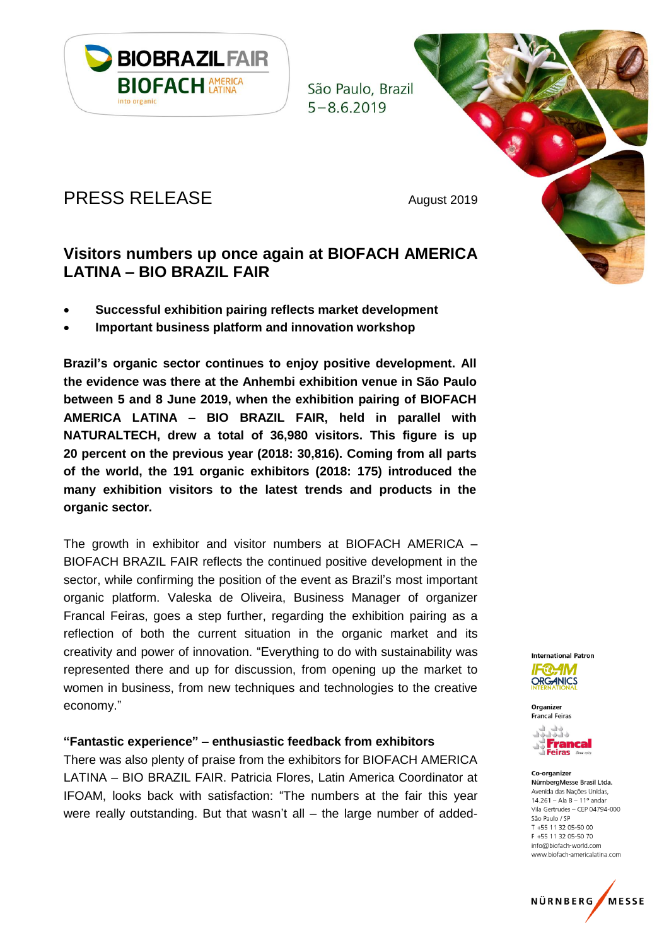

São Paulo, Brazil  $5 - 862019$ 

# PRESS RELEASE August 2019

# **Visitors numbers up once again at BIOFACH AMERICA LATINA – BIO BRAZIL FAIR**

- **Successful exhibition pairing reflects market development**
- **Important business platform and innovation workshop**

**Brazil's organic sector continues to enjoy positive development. All the evidence was there at the Anhembi exhibition venue in São Paulo between 5 and 8 June 2019, when the exhibition pairing of BIOFACH AMERICA LATINA – BIO BRAZIL FAIR, held in parallel with NATURALTECH, drew a total of 36,980 visitors. This figure is up 20 percent on the previous year (2018: 30,816). Coming from all parts of the world, the 191 organic exhibitors (2018: 175) introduced the many exhibition visitors to the latest trends and products in the organic sector.**

The growth in exhibitor and visitor numbers at BIOFACH AMERICA – BIOFACH BRAZIL FAIR reflects the continued positive development in the sector, while confirming the position of the event as Brazil's most important organic platform. Valeska de Oliveira, Business Manager of organizer Francal Feiras, goes a step further, regarding the exhibition pairing as a reflection of both the current situation in the organic market and its creativity and power of innovation. "Everything to do with sustainability was represented there and up for discussion, from opening up the market to women in business, from new techniques and technologies to the creative economy."

#### **"Fantastic experience" – enthusiastic feedback from exhibitors**

There was also plenty of praise from the exhibitors for BIOFACH AMERICA LATINA – BIO BRAZIL FAIR. Patricia Flores, Latin America Coordinator at IFOAM, looks back with satisfaction: "The numbers at the fair this year were really outstanding. But that wasn't all – the large number of added-



Organizer **Francal Feiras** 



#### Co-organizer NürnbergMesse Brasil Ltda. Avenida das Nações Unidas,  $14.261 - Ala B - 11^{\circ}$  andar Vila Gertrudes - CEP 04794-000 São Paulo / SP T +55 11 32 05-50 00 F +55 11 32 05-50 70 info@biofach-world.com www.biofach-americalatina.com

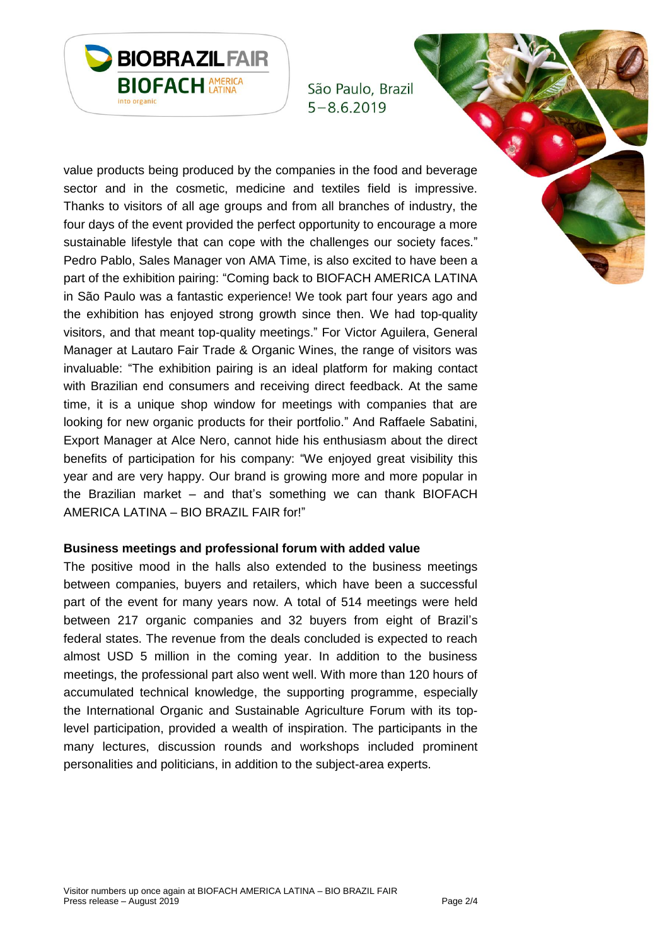

São Paulo, Brazil  $5 - 8.6.2019$ 

value products being produced by the companies in the food and beverage sector and in the cosmetic, medicine and textiles field is impressive. Thanks to visitors of all age groups and from all branches of industry, the four days of the event provided the perfect opportunity to encourage a more sustainable lifestyle that can cope with the challenges our society faces." Pedro Pablo, Sales Manager von AMA Time, is also excited to have been a part of the exhibition pairing: "Coming back to BIOFACH AMERICA LATINA in São Paulo was a fantastic experience! We took part four years ago and the exhibition has enjoyed strong growth since then. We had top-quality visitors, and that meant top-quality meetings." For Victor Aguilera, General Manager at Lautaro Fair Trade & Organic Wines, the range of visitors was invaluable: "The exhibition pairing is an ideal platform for making contact with Brazilian end consumers and receiving direct feedback. At the same time, it is a unique shop window for meetings with companies that are looking for new organic products for their portfolio." And Raffaele Sabatini, Export Manager at Alce Nero, cannot hide his enthusiasm about the direct benefits of participation for his company: "We enjoyed great visibility this year and are very happy. Our brand is growing more and more popular in the Brazilian market – and that's something we can thank BIOFACH AMERICA LATINA – BIO BRAZIL FAIR for!"

#### **Business meetings and professional forum with added value**

The positive mood in the halls also extended to the business meetings between companies, buyers and retailers, which have been a successful part of the event for many years now. A total of 514 meetings were held between 217 organic companies and 32 buyers from eight of Brazil's federal states. The revenue from the deals concluded is expected to reach almost USD 5 million in the coming year. In addition to the business meetings, the professional part also went well. With more than 120 hours of accumulated technical knowledge, the supporting programme, especially the International Organic and Sustainable Agriculture Forum with its toplevel participation, provided a wealth of inspiration. The participants in the many lectures, discussion rounds and workshops included prominent personalities and politicians, in addition to the subject-area experts.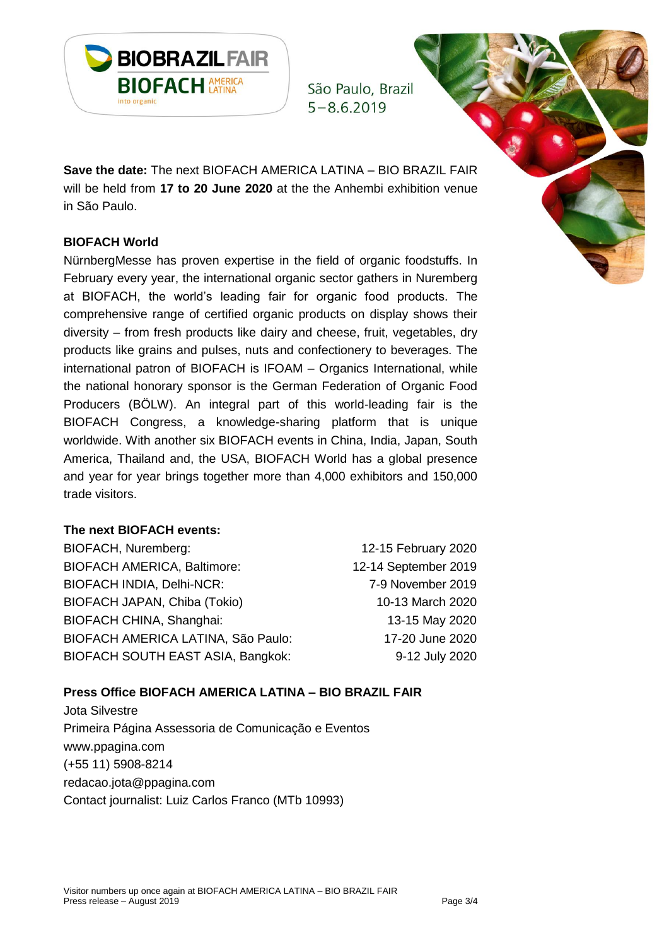

São Paulo, Brazil  $5 - 862019$ 

**Save the date:** The next BIOFACH AMERICA LATINA – BIO BRAZIL FAIR will be held from **17 to 20 June 2020** at the the Anhembi exhibition venue in São Paulo.

## **BIOFACH World**

NürnbergMesse has proven expertise in the field of organic foodstuffs. In February every year, the international organic sector gathers in Nuremberg at BIOFACH, the world's leading fair for organic food products. The comprehensive range of certified organic products on display shows their diversity – from fresh products like dairy and cheese, fruit, vegetables, dry products like grains and pulses, nuts and confectionery to beverages. The international patron of BIOFACH is IFOAM – Organics International, while the national honorary sponsor is the German Federation of Organic Food Producers (BÖLW). An integral part of this world-leading fair is the BIOFACH Congress, a knowledge-sharing platform that is unique worldwide. With another six BIOFACH events in China, India, Japan, South America, Thailand and, the USA, BIOFACH World has a global presence and year for year brings together more than 4,000 exhibitors and 150,000 trade visitors.

### **The next BIOFACH events:**

BIOFACH, Nuremberg: 12-15 February 2020 BIOFACH AMERICA, Baltimore: 12-14 September 2019 BIOFACH INDIA, Delhi-NCR: 7-9 November 2019 BIOFACH JAPAN, Chiba (Tokio) 10-13 March 2020 BIOFACH CHINA, Shanghai: 13-15 May 2020 BIOFACH AMERICA LATINA, São Paulo: 17-20 June 2020 BIOFACH SOUTH EAST ASIA, Bangkok: 9-12 July 2020

# **Press Office BIOFACH AMERICA LATINA – BIO BRAZIL FAIR**

Jota Silvestre Primeira Página Assessoria de Comunicação e Eventos [www.ppagina.com](http://www.ppagina.com/) (+55 11) 5908-8214 [redacao.jota@ppagina.com](mailto:redacao.jota@ppagina.com) Contact journalist: Luiz Carlos Franco (MTb 10993)